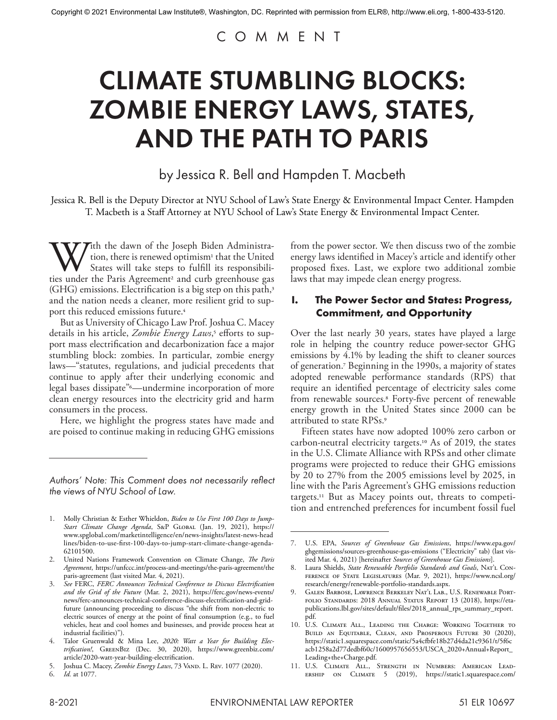# COMMENT

# CLIMATE STUMBLING BLOCKS: ZOMBIE ENERGY LAWS, STATES, AND THE PATH TO PARIS

by Jessica R. Bell and Hampden T. Macbeth

Jessica R. Bell is the Deputy Director at NYU School of Law's State Energy & Environmental Impact Center. Hampden T. Macbeth is a Staff Attorney at NYU School of Law's State Energy & Environmental Impact Center.

With the dawn of the Joseph Biden Administra-<br>tion, there is renewed optimism<sup>1</sup> that the United<br>States will take steps to fulfill its responsibili-<br>ties under the Paris Agreement<sup>2</sup> and curb greenhouse gas tion, there is renewed optimism<sup>1</sup> that the United States will take steps to fulfill its responsibili- $(GHG)$  emissions. Electrification is a big step on this path,<sup>3</sup> and the nation needs a cleaner, more resilient grid to support this reduced emissions future.4

But as University of Chicago Law Prof. Joshua C. Macey details in his article, *Zombie Energy Laws*,<sup>5</sup> efforts to support mass electrification and decarbonization face a major stumbling block: zombies. In particular, zombie energy laws—"statutes, regulations, and judicial precedents that continue to apply after their underlying economic and legal bases dissipate"6—undermine incorporation of more clean energy resources into the electricity grid and harm consumers in the process.

Here, we highlight the progress states have made and are poised to continue making in reducing GHG emissions from the power sector. We then discuss two of the zombie energy laws identified in Macey's article and identify other proposed fixes. Last, we explore two additional zombie laws that may impede clean energy progress.

#### **I. The Power Sector and States: Progress, Commitment, and Opportunity**

Over the last nearly 30 years, states have played a large role in helping the country reduce power-sector GHG emissions by 4.1% by leading the shift to cleaner sources of generation.7 Beginning in the 1990s, a majority of states adopted renewable performance standards (RPS) that require an identified percentage of electricity sales come from renewable sources.8 Forty-five percent of renewable energy growth in the United States since 2000 can be attributed to state RPSs.9

Fifteen states have now adopted 100% zero carbon or carbon-neutral electricity targets.10 As of 2019, the states in the U.S. Climate Alliance with RPSs and other climate programs were projected to reduce their GHG emissions by 20 to 27% from the 2005 emissions level by 2025, in line with the Paris Agreement's GHG emissions reduction targets.11 But as Macey points out, threats to competition and entrenched preferences for incumbent fossil fuel

*Authors' Note: This Comment does not necessarily reflect the views of NYU School of Law.*

<sup>1.</sup> Molly Christian & Esther Whieldon, *Biden to Use First 100 Days to Jump-Start Climate Change Agenda*, S&P Global (Jan. 19, 2021), https:// www.spglobal.com/marketintelligence/en/news-insights/latest-news-head lines/biden-to-use-first-100-days-to-jump-start-climate-change-agenda-62101500.

<sup>2.</sup> United Nations Framework Convention on Climate Change, *The Paris Agreement*, https://unfccc.int/process-and-meetings/the-paris-agreement/the paris-agreement (last visited Mar. 4, 2021).

<sup>3.</sup> *See* FERC, *FERC Announces Technical Conference to Discuss Electrification and the Grid of the Future* (Mar. 2, 2021), https://ferc.gov/news-events/ news/ferc-announces-technical-conference-discuss-electrification-and-gridfuture (announcing proceeding to discuss "the shift from non-electric to electric sources of energy at the point of final consumption (e.g., to fuel vehicles, heat and cool homes and businesses, and provide process heat at industrial facilities)").

<sup>4.</sup> Talor Gruenwald & Mina Lee, *2020: Watt a Year for Building Electrification!*, GreenBiz (Dec. 30, 2020), https://www.greenbiz.com/ article/2020-watt-year-building-electrification.

<sup>5.</sup> Joshua C. Macey, *Zombie Energy Laws*, 73 Vand. L. Rev. 1077 (2020).<br>6. *Id.* at 1077.

<sup>6.</sup> *Id.* at 1077.

<sup>7.</sup> U.S. EPA, *Sources of Greenhouse Gas Emissions*, https://www.epa.gov/ ghgemissions/sources-greenhouse-gas-emissions ("Electricity" tab) (last visited Mar. 4, 2021) [hereinafter *Sources of Greenhouse Gas Emissions*].

<sup>8.</sup> Laura Shields, *State Renewable Portfolio Standards and Goals*, Nat'l Conference of State Legislatures (Mar. 9, 2021), https://www.ncsl.org/ research/energy/renewable-portfolio-standards.aspx.

<sup>9.</sup> Galen Barbose, Lawrence Berkeley Nat'l Lab., U.S. Renewable Portfolio Standards: 2018 Annual Status Report 13 (2018), https://etapublications.lbl.gov/sites/default/files/2018\_annual\_rps\_summary\_report. pdf.

<sup>10.</sup> U.S. Climate All., Leading the Charge: Working Together to Build an Equitable, Clean, and Prosperous Future 30 (2020), https://static1.squarespace.com/static/5a4cfbfe18b27d4da21c9361/t/5f6c acb1258a2d77dedbf60c/1600957656553/USCA\_2020+Annual+Report\_ Leading+the+Charge.pdf.

<sup>11.</sup> U.S. Climate All., Strength in Numbers: American Leadership on Climate 5 (2019), https://static1.squarespace.com/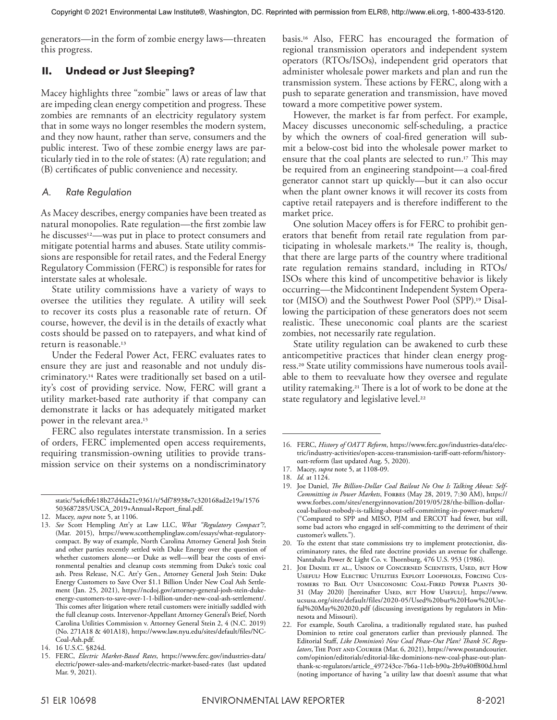generators—in the form of zombie energy laws—threaten this progress.

# **II. Undead or Just Sleeping?**

Macey highlights three "zombie" laws or areas of law that are impeding clean energy competition and progress. These zombies are remnants of an electricity regulatory system that in some ways no longer resembles the modern system, and they now haunt, rather than serve, consumers and the public interest. Two of these zombie energy laws are particularly tied in to the role of states: (A) rate regulation; and (B) certificates of public convenience and necessity.

#### *A. Rate Regulation*

As Macey describes, energy companies have been treated as natural monopolies. Rate regulation—the first zombie law he discusses<sup>12</sup>—was put in place to protect consumers and mitigate potential harms and abuses. State utility commissions are responsible for retail rates, and the Federal Energy Regulatory Commission (FERC) is responsible for rates for interstate sales at wholesale.

State utility commissions have a variety of ways to oversee the utilities they regulate. A utility will seek to recover its costs plus a reasonable rate of return. Of course, however, the devil is in the details of exactly what costs should be passed on to ratepayers, and what kind of return is reasonable.13

Under the Federal Power Act, FERC evaluates rates to ensure they are just and reasonable and not unduly discriminatory.14 Rates were traditionally set based on a utility's cost of providing service. Now, FERC will grant a utility market-based rate authority if that company can demonstrate it lacks or has adequately mitigated market power in the relevant area.15

FERC also regulates interstate transmission. In a series of orders, FERC implemented open access requirements, requiring transmission-owning utilities to provide transmission service on their systems on a nondiscriminatory

12. Macey, *supra* note 5, at 1106.

basis.16 Also, FERC has encouraged the formation of regional transmission operators and independent system operators (RTOs/ISOs), independent grid operators that administer wholesale power markets and plan and run the transmission system. These actions by FERC, along with a push to separate generation and transmission, have moved toward a more competitive power system.

However, the market is far from perfect. For example, Macey discusses uneconomic self-scheduling, a practice by which the owners of coal-fired generation will submit a below-cost bid into the wholesale power market to ensure that the coal plants are selected to run.17 This may be required from an engineering standpoint—a coal-fired generator cannot start up quickly—but it can also occur when the plant owner knows it will recover its costs from captive retail ratepayers and is therefore indifferent to the market price.

One solution Macey offers is for FERC to prohibit generators that benefit from retail rate regulation from participating in wholesale markets.18 The reality is, though, that there are large parts of the country where traditional rate regulation remains standard, including in RTOs/ ISOs where this kind of uncompetitive behavior is likely occurring—the Midcontinent Independent System Operator (MISO) and the Southwest Power Pool (SPP).19 Disallowing the participation of these generators does not seem realistic. These uneconomic coal plants are the scariest zombies, not necessarily rate regulation.

State utility regulation can be awakened to curb these anticompetitive practices that hinder clean energy progress.20 State utility commissions have numerous tools available to them to reevaluate how they oversee and regulate utility ratemaking.21 There is a lot of work to be done at the state regulatory and legislative level.<sup>22</sup>

static/5a4cfbfe18b27d4da21c9361/t/5df78938e7c320168ad2e19a/1576 503687285/USCA\_2019+Annual+Report\_final.pdf.

<sup>13.</sup> *See* Scott Hempling Att'y at Law LLC, *What "Regulatory Compact"?*, (Mar. 2015), https://www.scotthemplinglaw.com/essays/what-regulatorycompact. By way of example, North Carolina Attorney General Josh Stein and other parties recently settled with Duke Energy over the question of whether customers alone—or Duke as well—will bear the costs of environmental penalties and cleanup costs stemming from Duke's toxic coal ash. Press Release, N.C. Att'y Gen., Attorney General Josh Stein: Duke Energy Customers to Save Over \$1.1 Billion Under New Coal Ash Settlement (Jan. 25, 2021), https://ncdoj.gov/attorney-general-josh-stein-dukeenergy-customers-to-save-over-1-1-billion-under-new-coal-ash-settlement/. This comes after litigation where retail customers were initially saddled with the full cleanup costs. Intervenor-Appellant Attorney General's Brief, North Carolina Utilities Commission v. Attorney General Stein 2, 4 (N.C. 2019) (No. 271A18 & 401A18), https://www.law.nyu.edu/sites/default/files/NC-Coal-Ash.pdf.

<sup>14.</sup> 16 U.S.C. §824d.

<sup>15.</sup> FERC, *Electric Market-Based Rates*, https://www.ferc.gov/industries-data/ electric/power-sales-and-markets/electric-market-based-rates (last updated Mar. 9, 2021).

<sup>16.</sup> FERC, *History of OATT Reform*, https://www.ferc.gov/industries-data/electric/industry-activities/open-access-transmission-tariff-oatt-reform/historyoatt-reform (last updated Aug. 5, 2020).

<sup>17.</sup> Macey, *supra* note 5, at 1108-09.

<sup>18.</sup> *Id.* at 1124.

<sup>19.</sup> Joe Daniel, *The Billion-Dollar Coal Bailout No One Is Talking About: Self-Committing in Power Markets*, Forbes (May 28, 2019, 7:30 AM), https:// www.forbes.com/sites/energyinnovation/2019/05/28/the-billion-dollarcoal-bailout-nobody-is-talking-about-self-committing-in-power-markets/ ("Compared to SPP and MISO, PJM and ERCOT had fewer, but still, some bad actors who engaged in self-committing to the detriment of their customer's wallets.").

<sup>20.</sup> To the extent that state commissions try to implement protectionist, discriminatory rates, the filed rate doctrine provides an avenue for challenge. Nantahala Power & Light Co. v. Thornburg, 476 U.S. 953 (1986).

<sup>21.</sup> Joe Daniel et al., Union of Concerned Scientists, Used, but How Useful? How Electric Utilities Exploit Loopholes, Forcing Customers to Bail Out Uneconomic Coal-Fired Power Plants 30- 31 (May 2020) [hereinafter Usen, BUT How UseFUL?], https://www. ucsusa.org/sites/default/files/2020-05/Used%20but%20How%20Useful%20May%202020.pdf (discussing investigations by regulators in Minnesota and Missouri).

<sup>22.</sup> For example, South Carolina, a traditionally regulated state, has pushed Dominion to retire coal generators earlier than previously planned. The Editorial Staff, *Like Dominion's New Coal Phase-Out Plan? Thank SC Regulators*, The Post and Courier (Mar. 6, 2021), https://www.postandcourier. com/opinion/editorials/editorial-like-dominions-new-coal-phase-out-planthank-sc-regulators/article\_497243ce-7b6a-11eb-b90a-2b9a40ff800d.html (noting importance of having "a utility law that doesn't assume that what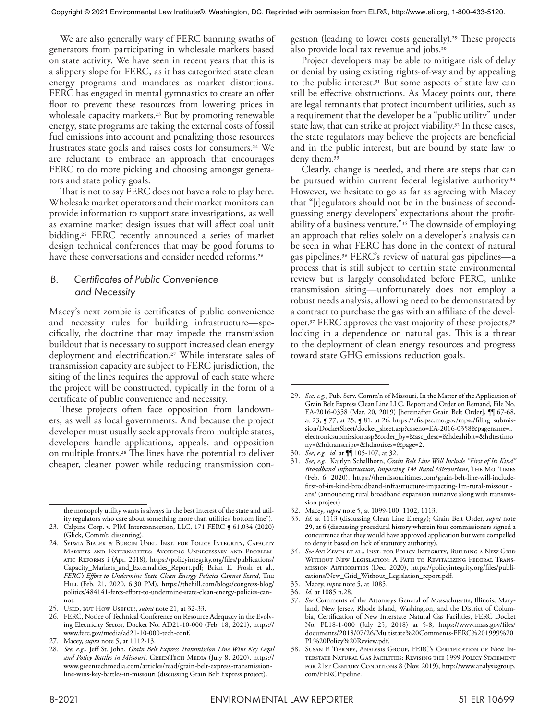We are also generally wary of FERC banning swaths of generators from participating in wholesale markets based on state activity. We have seen in recent years that this is a slippery slope for FERC, as it has categorized state clean energy programs and mandates as market distortions. FERC has engaged in mental gymnastics to create an offer floor to prevent these resources from lowering prices in wholesale capacity markets.<sup>23</sup> But by promoting renewable energy, state programs are taking the external costs of fossil fuel emissions into account and penalizing those resources frustrates state goals and raises costs for consumers.24 We are reluctant to embrace an approach that encourages FERC to do more picking and choosing amongst generators and state policy goals.

That is not to say FERC does not have a role to play here. Wholesale market operators and their market monitors can provide information to support state investigations, as well as examine market design issues that will affect coal unit bidding.25 FERC recently announced a series of market design technical conferences that may be good forums to have these conversations and consider needed reforms.<sup>26</sup>

# *B. Certificates of Public Convenience and Necessity*

Macey's next zombie is certificates of public convenience and necessity rules for building infrastructure—specifically, the doctrine that may impede the transmission buildout that is necessary to support increased clean energy deployment and electrification.27 While interstate sales of transmission capacity are subject to FERC jurisdiction, the siting of the lines requires the approval of each state where the project will be constructed, typically in the form of a certificate of public convenience and necessity.

These projects often face opposition from landowners, as well as local governments. And because the project developer must usually seek approvals from multiple states, developers handle applications, appeals, and opposition on multiple fronts.28 The lines have the potential to deliver cheaper, cleaner power while reducing transmission con-

the monopoly utility wants is always in the best interest of the state and utility regulators who care about something more than utilities' bottom line").

gestion (leading to lower costs generally).<sup>29</sup> These projects also provide local tax revenue and jobs.30

Project developers may be able to mitigate risk of delay or denial by using existing rights-of-way and by appealing to the public interest.31 But some aspects of state law can still be effective obstructions. As Macey points out, there are legal remnants that protect incumbent utilities, such as a requirement that the developer be a "public utility" under state law, that can strike at project viability.<sup>32</sup> In these cases, the state regulators may believe the projects are beneficial and in the public interest, but are bound by state law to deny them.33

Clearly, change is needed, and there are steps that can be pursued within current federal legislative authority.<sup>34</sup> However, we hesitate to go as far as agreeing with Macey that "[r]egulators should not be in the business of secondguessing energy developers' expectations about the profitability of a business venture."35 The downside of employing an approach that relies solely on a developer's analysis can be seen in what FERC has done in the context of natural gas pipelines.36 FERC's review of natural gas pipelines—a process that is still subject to certain state environmental review but is largely consolidated before FERC, unlike transmission siting—unfortunately does not employ a robust needs analysis, allowing need to be demonstrated by a contract to purchase the gas with an affiliate of the developer.<sup>37</sup> FERC approves the vast majority of these projects,<sup>38</sup> locking in a dependence on natural gas. This is a threat to the deployment of clean energy resources and progress toward state GHG emissions reduction goals.

<sup>23.</sup> Calpine Corp. v. PJM Interconnection, LLC, 171 FERC § 61,034 (2020) (Glick, Comm'r, dissenting).

<sup>24.</sup> Sylwia Bialek & Burcin Unel, Inst. for Policy Integrity, Capacity Markets and Externalities: Avoiding Unnecessary and Problematic Reforms i (Apr. 2018), https://policyintegrity.org/files/publications/ Capacity\_Markets\_and\_Externalities\_Report.pdf; Brian E. Frosh et al., *FERC's Effort to Undermine State Clean Energy Policies Cannot Stand*, The HILL (Feb. 21, 2020, 6:30 PM), https://thehill.com/blogs/congress-blog/ politics/484141-fercs-effort-to-undermine-state-clean-energy-policies-cannot.

<sup>25.</sup> Used, but How Useful?, *supra* note 21, at 32-33.

<sup>26.</sup> FERC, Notice of Technical Conference on Resource Adequacy in the Evolving Electricity Sector, Docket No. AD21-10-000 (Feb. 18, 2021), https:// www.ferc.gov/media/ad21-10-000-tech-conf.

<sup>27.</sup> Macey, *supra* note 5, at 1112-13.

<sup>28.</sup> *See, e.g.*, Jeff St. John, *Grain Belt Express Transmission Line Wins Key Legal*  and Policy Battles in Missouri, GREENTECH MEDIA (July 8, 2020), https:// www.greentechmedia.com/articles/read/grain-belt-express-transmissionline-wins-key-battles-in-missouri (discussing Grain Belt Express project).

<sup>29.</sup> *See, e.g.*, Pub. Serv. Comm'n of Missouri, In the Matter of the Application of Grain Belt Express Clean Line LLC, Report and Order on Remand*,* File No. EA-2016-0358 (Mar. 20, 2019) [hereinafter Grain Belt Order], ¶¶ 67-68, at 23, ¶ 77, at 25, ¶ 81, at 26, https://efis.psc.mo.gov/mpsc/filing\_submission/DocketSheet/docket\_sheet.asp?caseno=EA-2016-0358&pagename=.. electronicsubmission.asp&order\_by=&asc\_desc=&hdexhibit=&hdtestimo ny=&hdtranscript=&hdnotices=&page=2.

<sup>30.</sup> *See, e.g.*, *id.* at ¶¶ 105-107, at 32.

<sup>31.</sup> *See, e.g.*, Kaitlyn Schallhorn, *Grain Belt Line Will Include "First of Its Kind" Broadband Infrastructure, Impacting 1M Rural Missourians*, The Mo. Times (Feb. 6, 2020), https://themissouritimes.com/grain-belt-line-will-includefirst-of-its-kind-broadband-infrastructure-impacting-1m-rural-missourians/ (announcing rural broadband expansion initiative along with transmission project).

<sup>32.</sup> Macey, *supra* note 5, at 1099-100, 1102, 1113.

<sup>33.</sup> *Id.* at 1113 (discussing Clean Line Energy); Grain Belt Order, *supra* note 29, at 6 (discussing procedural history wherein four commissioners signed a concurrence that they would have approved application but were compelled to deny it based on lack of statutory authority).

See Avi Zevin et al., Inst. for Policy Integrity, Building a New Grid WITHOUT NEW LEGISLATION: A PATH TO REVITALIZING FEDERAL TRANSmission Authorities (Dec. 2020), https://policyintegrity.org/files/publications/New\_Grid\_Without\_Legislation\_report.pdf.

<sup>35.</sup> Macey, *supra* note 5, at 1085.

<sup>36.</sup> *Id.* at 1085 n.28.

<sup>37.</sup> *See* Comments of the Attorneys General of Massachusetts, Illinois, Maryland, New Jersey, Rhode Island, Washington, and the District of Columbia, Certification of New Interstate Natural Gas Facilities, FERC Docket No. PL18-1-000 (July 25, 2018) at 5-8, https://www.mass.gov/files/ documents/2018/07/26/Multistate%20Comments-FERC%201999%20 PL%20Policy%20Review.pdf.

<sup>38.</sup> Susan F. Tierney, Analysis Group, FERC's Certification of New Interstate Natural Gas Facilities: Revising the 1999 Policy Statement FOR 21st CENTURY CONDITIONS 8 (Nov. 2019), http://www.analysisgroup. com/FERCPipeline.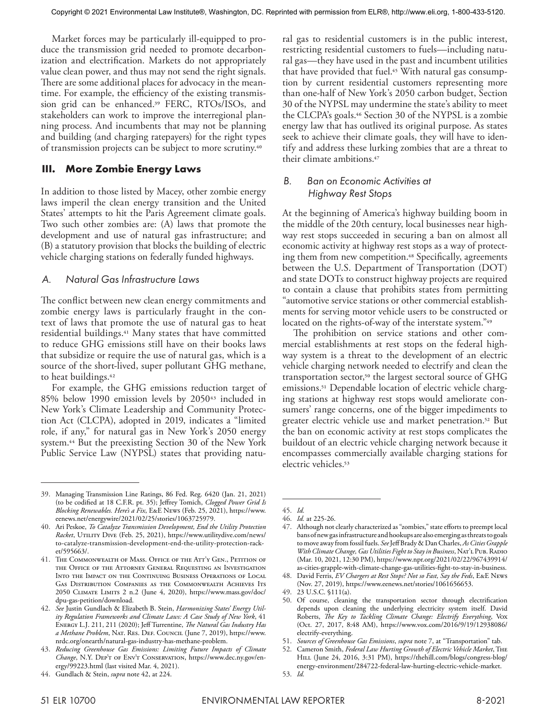Market forces may be particularly ill-equipped to produce the transmission grid needed to promote decarbonization and electrification. Markets do not appropriately value clean power, and thus may not send the right signals. There are some additional places for advocacy in the meantime. For example, the efficiency of the existing transmission grid can be enhanced.39 FERC, RTOs/ISOs, and stakeholders can work to improve the interregional planning process. And incumbents that may not be planning and building (and charging ratepayers) for the right types of transmission projects can be subject to more scrutiny.40

## **III. More Zombie Energy Laws**

In addition to those listed by Macey, other zombie energy laws imperil the clean energy transition and the United States' attempts to hit the Paris Agreement climate goals. Two such other zombies are: (A) laws that promote the development and use of natural gas infrastructure; and (B) a statutory provision that blocks the building of electric vehicle charging stations on federally funded highways.

## *A. Natural Gas Infrastructure Laws*

The conflict between new clean energy commitments and zombie energy laws is particularly fraught in the context of laws that promote the use of natural gas to heat residential buildings.41 Many states that have committed to reduce GHG emissions still have on their books laws that subsidize or require the use of natural gas, which is a source of the short-lived, super pollutant GHG methane, to heat buildings.42

For example, the GHG emissions reduction target of 85% below 1990 emission levels by 205043 included in New York's Climate Leadership and Community Protection Act (CLCPA), adopted in 2019, indicates a "limited role, if any," for natural gas in New York's 2050 energy system.44 But the preexisting Section 30 of the New York Public Service Law (NYPSL) states that providing natural gas to residential customers is in the public interest, restricting residential customers to fuels—including natural gas—they have used in the past and incumbent utilities that have provided that fuel.<sup>45</sup> With natural gas consumption by current residential customers representing more than one-half of New York's 2050 carbon budget, Section 30 of the NYPSL may undermine the state's ability to meet the CLCPA's goals.46 Section 30 of the NYPSL is a zombie energy law that has outlived its original purpose. As states seek to achieve their climate goals, they will have to identify and address these lurking zombies that are a threat to their climate ambitions.47

#### *B. Ban on Economic Activities at Highway Rest Stops*

At the beginning of America's highway building boom in the middle of the 20th century, local businesses near highway rest stops succeeded in securing a ban on almost all economic activity at highway rest stops as a way of protecting them from new competition.<sup>48</sup> Specifically, agreements between the U.S. Department of Transportation (DOT) and state DOTs to construct highway projects are required to contain a clause that prohibits states from permitting "automotive service stations or other commercial establishments for serving motor vehicle users to be constructed or located on the rights-of-way of the interstate system."<sup>49</sup>

The prohibition on service stations and other commercial establishments at rest stops on the federal highway system is a threat to the development of an electric vehicle charging network needed to electrify and clean the transportation sector,<sup>50</sup> the largest sectoral source of GHG emissions.51 Dependable location of electric vehicle charging stations at highway rest stops would ameliorate consumers' range concerns, one of the bigger impediments to greater electric vehicle use and market penetration.52 But the ban on economic activity at rest stops complicates the buildout of an electric vehicle charging network because it encompasses commercially available charging stations for electric vehicles.<sup>53</sup>

<sup>39.</sup> Managing Transmission Line Ratings, 86 Fed. Reg. 6420 (Jan. 21, 2021) (to be codified at 18 C.F.R. pt. 35); Jeffrey Tomich, *Clogged Power Grid Is Blocking Renewables. Here's a Fix*, E&E News (Feb. 25, 2021), https://www. eenews.net/energywire/2021/02/25/stories/1063725979.

<sup>40.</sup> Ari Peskoe, *To Catalyze Transmission Development, End the Utility Protection*  Racket, UTILITY DIVE (Feb. 25, 2021), https://www.utilitydive.com/news/ to-catalyze-transmission-development-end-the-utility-protection-racket/595663/.

<sup>41.</sup> The COMMONWEALTH OF MASS. OFFICE OF THE ATT'Y GEN., PETITION OF the Office of the Attorney General Requesting an Investigation Into the Impact on the Continuing Business Operations of Local Gas Distribution Companies as the Commonwealth Achieves Its 2050 Climate Limits 2 n.2 (June 4, 2020), https://www.mass.gov/doc/ dpu-gas-petition/download.

<sup>42.</sup> *See* Justin Gundlach & Elizabeth B. Stein, *Harmonizing States' Energy Utility Regulation Frameworks and Climate Laws: A Case Study of New York*, 41 Energy L.J. 211, 211 (2020); Jeff Turrentine, *The Natural Gas Industry Has a Methane Problem*, Nat. Res. Def. Council (June 7, 2019), https://www. nrdc.org/onearth/natural-gas-industry-has-methane-problem.

<sup>43.</sup> *Reducing Greenhouse Gas Emissions: Limiting Future Impacts of Climate Change*, N.Y. Dep't of Env't Conservation, https://www.dec.ny.gov/energy/99223.html (last visited Mar. 4, 2021).

<sup>44.</sup> Gundlach & Stein, *supra* note 42, at 224.

<sup>45.</sup> *Id.*

<sup>46.</sup> *Id.* at 225-26.

<sup>47.</sup> Although not clearly characterized as "zombies," state efforts to preempt local bans of new gas infrastructure and hookups are also emerging as threats to goals to move away from fossil fuels. *See* Jeff Brady & Dan Charles, *As Cities Grapple*  With Climate Change, Gas Utilities Fight to Stay in Business, NAT'L PUB. RADIO (Mar. 10, 2021, 12:30 PM), https://www.npr.org/2021/02/22/967439914/ as-cities-grapple-with-climate-change-gas-utilities-fight-to-stay-in-business.

<sup>48.</sup> David Ferris, *EV Chargers at Rest Stops? Not so Fast, Say the Feds*, E&E News (Nov. 27, 2019), https://www.eenews.net/stories/1061656653.

<sup>49.</sup> 23 U.S.C. §111(a).

<sup>50.</sup> Of course, cleaning the transportation sector through electrification depends upon cleaning the underlying electricity system itself. David Roberts, *The Key to Tackling Climate Change: Electrify Everything*, Vox (Oct. 27, 2017, 8:48 AM), https://www.vox.com/2016/9/19/12938086/ electrify-everything.

<sup>51.</sup> *Sources of Greenhouse Gas Emissions*, *supra* note 7, at "Transportation" tab.

<sup>52.</sup> Cameron Smith, *Federal Law Hurting Growth of Electric Vehicle Market*, The HILL (June 24, 2016, 3:31 PM), https://thehill.com/blogs/congress-blog/ energy-environment/284722-federal-law-hurting-electric-vehicle-market.

<sup>53.</sup> *Id.*